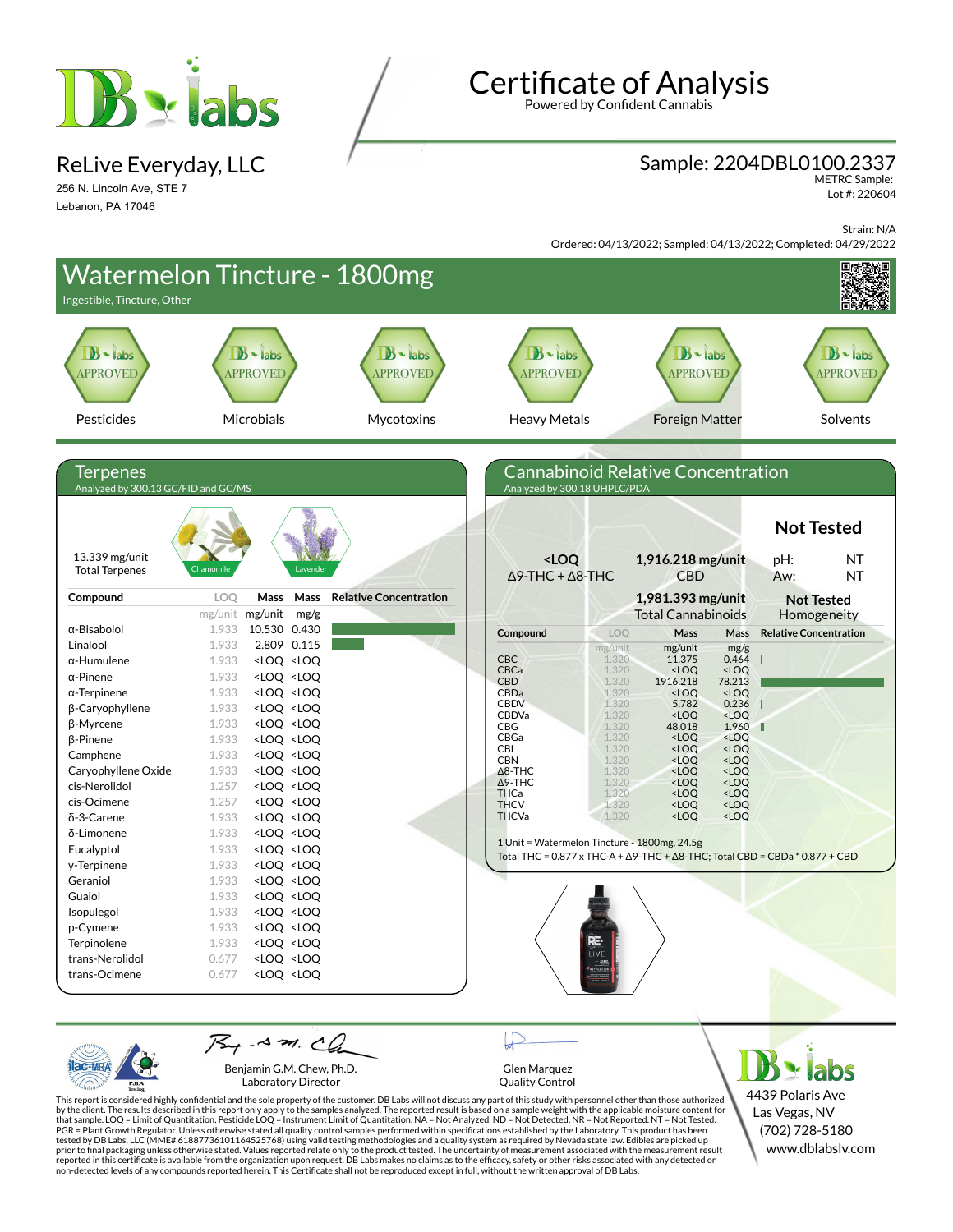

ReLive Everyday, LLC

256 N. Lincoln Ave, STE 7 Lebanon, PA 17046

# **Certificate of Analysis**

Powered by Confident Cannabis

#### Sample: 2204DBL0100.2337

METRC Sample: Lot #: 220604

Strain: N/A

Ordered: 04/13/2022; Sampled: 04/13/2022; Completed: 04/29/2022

| Ingestible, Tincture, Other                            |          |                                                                                                                                                                                                                                   | Watermelon Tincture - 1800mg  |                                                                                                              |                |                                                                                                       |                                                        |                               |                                                |
|--------------------------------------------------------|----------|-----------------------------------------------------------------------------------------------------------------------------------------------------------------------------------------------------------------------------------|-------------------------------|--------------------------------------------------------------------------------------------------------------|----------------|-------------------------------------------------------------------------------------------------------|--------------------------------------------------------|-------------------------------|------------------------------------------------|
| $\mathbf{B}$ $\cdot$ labs<br><b>APPROVED</b>           |          | $B \cdot$ labs<br><b>APPROVED</b>                                                                                                                                                                                                 | $B -$ labs<br>APPROVED        | $B -$ labs<br><b>APPROVED</b>                                                                                |                | $B -$ labs<br><b>APPROVED</b>                                                                         |                                                        |                               | $\mathbf{B}$ $\bullet$ labs<br><b>APPROVED</b> |
| Pesticides                                             |          | Microbials                                                                                                                                                                                                                        | Mycotoxins                    | <b>Heavy Metals</b>                                                                                          |                | <b>Foreign Matter</b>                                                                                 |                                                        |                               | Solvents                                       |
| <b>Terpenes</b><br>Analyzed by 300.13 GC/FID and GC/MS |          |                                                                                                                                                                                                                                   |                               | <b>Cannabinoid Relative Concentration</b><br>Analyzed by 300.18 UHPLC/PDA                                    |                |                                                                                                       |                                                        |                               |                                                |
| 13.339 mg/unit                                         |          |                                                                                                                                                                                                                                   |                               | <loq< th=""><th></th><th>1,916.218 mg/unit</th><th></th><th><b>Not Tested</b><br/>pH:</th><th>NT</th></loq<> |                | 1,916.218 mg/unit                                                                                     |                                                        | <b>Not Tested</b><br>pH:      | NT                                             |
| <b>Total Terpenes</b>                                  | Chamomil | Lavender                                                                                                                                                                                                                          |                               | $\Delta$ 9-THC + $\Delta$ 8-THC                                                                              |                | <b>CBD</b>                                                                                            |                                                        | Aw:                           | <b>NT</b>                                      |
| Compound                                               | LOQ      | Mass<br>Mass<br>mg/unit mg/unit<br>mg/g                                                                                                                                                                                           | <b>Relative Concentration</b> |                                                                                                              |                | 1,981.393 mg/unit<br><b>Total Cannabinoids</b>                                                        |                                                        |                               | <b>Not Tested</b><br>Homogeneity               |
| α-Bisabolol                                            | 1.933    | 10.530 0.430                                                                                                                                                                                                                      |                               | Compound                                                                                                     | LOQ            | Mass                                                                                                  | <b>Mass</b>                                            | <b>Relative Concentration</b> |                                                |
| Linalool                                               | 1.933    | 2.809 0.115                                                                                                                                                                                                                       |                               |                                                                                                              | mg/unit        | mg/unit                                                                                               | mg/g                                                   |                               |                                                |
| $\alpha$ -Humulene                                     | 1.933    | <loq <loq<="" td=""><td></td><td><b>CBC</b></td><td>1.320</td><td>11.375</td><td>0.464</td><td></td><td></td></loq>                                                                                                               |                               | <b>CBC</b>                                                                                                   | 1.320          | 11.375                                                                                                | 0.464                                                  |                               |                                                |
| $\alpha$ -Pinene                                       | 1.933    | <loq <loq<="" td=""><td></td><td>CBCa<br/><b>CBD</b></td><td>1.320<br/>1.320</td><td><loq<br>1916.218</loq<br></td><td><loq<br>78.213</loq<br></td><td></td><td></td></loq>                                                       |                               | CBCa<br><b>CBD</b>                                                                                           | 1.320<br>1.320 | <loq<br>1916.218</loq<br>                                                                             | <loq<br>78.213</loq<br>                                |                               |                                                |
| $\alpha$ -Terpinene                                    | 1.933    | <loq <loq<="" td=""><td></td><td>CBDa</td><td>1.320</td><td><loq< td=""><td><loo< td=""><td></td><td></td></loo<></td></loq<></td></loq>                                                                                          |                               | CBDa                                                                                                         | 1.320          | <loq< td=""><td><loo< td=""><td></td><td></td></loo<></td></loq<>                                     | <loo< td=""><td></td><td></td></loo<>                  |                               |                                                |
| β-Caryophyllene                                        | 1.933    | <loq <loq<="" td=""><td></td><td><b>CBDV</b><br/>CBDVa</td><td>1.320<br/>1.320</td><td>5.782<br/><math>&lt;</math>LOQ</td><td>0.236<br/><math>&lt;</math>LOQ</td><td></td><td></td></loq>                                         |                               | <b>CBDV</b><br>CBDVa                                                                                         | 1.320<br>1.320 | 5.782<br>$<$ LOQ                                                                                      | 0.236<br>$<$ LOQ                                       |                               |                                                |
| β-Myrcene                                              | 1.933    | <loq <loq<="" td=""><td></td><td><b>CBG</b></td><td>1.320</td><td>48.018</td><td>1.960</td><td></td><td></td></loq>                                                                                                               |                               | <b>CBG</b>                                                                                                   | 1.320          | 48.018                                                                                                | 1.960                                                  |                               |                                                |
| <b>ß-Pinene</b>                                        | 1.933    | <loq <loq<="" td=""><td></td><td>CBGa<br/><b>CBL</b></td><td>1.320<br/>1.320</td><td><loq<br><loq< td=""><td><loq<br><loq< td=""><td></td><td></td></loq<></loq<br></td></loq<></loq<br></td></loq>                               |                               | CBGa<br><b>CBL</b>                                                                                           | 1.320<br>1.320 | <loq<br><loq< td=""><td><loq<br><loq< td=""><td></td><td></td></loq<></loq<br></td></loq<></loq<br>   | <loq<br><loq< td=""><td></td><td></td></loq<></loq<br> |                               |                                                |
| Camphene                                               | 1.933    | <loq <loq<="" td=""><td></td><td><b>CBN</b></td><td>1.320</td><td><loq< td=""><td><loq< td=""><td></td><td></td></loq<></td></loq<></td></loq>                                                                                    |                               | <b>CBN</b>                                                                                                   | 1.320          | <loq< td=""><td><loq< td=""><td></td><td></td></loq<></td></loq<>                                     | <loq< td=""><td></td><td></td></loq<>                  |                               |                                                |
| Caryophyllene Oxide                                    | 1.933    | <loq <loq<="" td=""><td></td><td><math>\Delta</math>8-THC</td><td>1.320</td><td><math>&lt;</math>LOQ</td><td><math>&lt;</math>LOQ</td><td></td><td></td></loq>                                                                    |                               | $\Delta$ 8-THC                                                                                               | 1.320          | $<$ LOQ                                                                                               | $<$ LOQ                                                |                               |                                                |
| cis-Nerolidol                                          | 1.257    | <loq <loq<="" td=""><td></td><td><math>\Delta</math>9-THC<br/>THCa</td><td>1.320<br/>1.320</td><td><math>&lt;</math>LOQ<br/><loq< td=""><td><math>&lt;</math>LOQ<br/><loq< td=""><td></td><td></td></loq<></td></loq<></td></loq> |                               | $\Delta$ 9-THC<br>THCa                                                                                       | 1.320<br>1.320 | $<$ LOQ<br><loq< td=""><td><math>&lt;</math>LOQ<br/><loq< td=""><td></td><td></td></loq<></td></loq<> | $<$ LOQ<br><loq< td=""><td></td><td></td></loq<>       |                               |                                                |
| cis-Ocimene                                            | 1.257    | <loq <loq<="" td=""><td></td><td><b>THCV</b></td><td>1.320</td><td><loq< td=""><td><loq< td=""><td></td><td></td></loq<></td></loq<></td></loq>                                                                                   |                               | <b>THCV</b>                                                                                                  | 1.320          | <loq< td=""><td><loq< td=""><td></td><td></td></loq<></td></loq<>                                     | <loq< td=""><td></td><td></td></loq<>                  |                               |                                                |
| δ-3-Carene                                             | 1.933    | <loq <loq<="" td=""><td></td><td><b>THCVa</b></td><td>1.320</td><td><loq< td=""><td><loq< td=""><td></td><td></td></loq<></td></loq<></td></loq>                                                                                  |                               | <b>THCVa</b>                                                                                                 | 1.320          | <loq< td=""><td><loq< td=""><td></td><td></td></loq<></td></loq<>                                     | <loq< td=""><td></td><td></td></loq<>                  |                               |                                                |
| δ-Limonene                                             | 1.933    | <loq <loq<="" td=""><td></td><td>1 Unit = Watermelon Tincture - 1800mg, 24.5g</td><td></td><td></td><td></td><td></td><td></td></loq>                                                                                             |                               | 1 Unit = Watermelon Tincture - 1800mg, 24.5g                                                                 |                |                                                                                                       |                                                        |                               |                                                |
| Eucalyptol                                             | 1.933    | <loq <loq<="" td=""><td></td><td>Total THC = <math>0.877 \times THC-A + \Delta 9</math>-THC + <math>\Delta 8</math>-THC; Total CBD = CBDa <math>*</math> 0.877 + CBD</td><td></td><td></td><td></td><td></td><td></td></loq>      |                               | Total THC = $0.877 \times THC-A + \Delta 9$ -THC + $\Delta 8$ -THC; Total CBD = CBDa $*$ 0.877 + CBD         |                |                                                                                                       |                                                        |                               |                                                |
| y-Terpinene                                            | 1.933    | <loq <loq<="" td=""><td></td><td></td><td></td><td></td><td></td><td></td><td></td></loq>                                                                                                                                         |                               |                                                                                                              |                |                                                                                                       |                                                        |                               |                                                |
| Geraniol                                               | 1.933    | <loq <loq<="" td=""><td></td><td></td><td></td><td></td><td></td><td></td><td></td></loq>                                                                                                                                         |                               |                                                                                                              |                |                                                                                                       |                                                        |                               |                                                |
| Guaiol                                                 | 1.933    | <loq <loq<="" td=""><td></td><td></td><td></td><td></td><td></td><td></td><td></td></loq>                                                                                                                                         |                               |                                                                                                              |                |                                                                                                       |                                                        |                               |                                                |
| Isopulegol                                             | 1.933    | <loq <loq<="" td=""><td></td><td></td><td></td><td></td><td></td><td></td><td></td></loq>                                                                                                                                         |                               |                                                                                                              |                |                                                                                                       |                                                        |                               |                                                |
| p-Cymene                                               | 1.933    | <loq <loq<="" td=""><td></td><td></td><td>Rē-</td><td></td><td></td><td></td><td></td></loq>                                                                                                                                      |                               |                                                                                                              | Rē-            |                                                                                                       |                                                        |                               |                                                |
| Terpinolene                                            | 1.933    | <loq <loq<="" td=""><td></td><td></td><td>LIVE</td><td></td><td></td><td></td><td></td></loq>                                                                                                                                     |                               |                                                                                                              | LIVE           |                                                                                                       |                                                        |                               |                                                |
|                                                        | 0.677    | <loq <loq<="" td=""><td></td><td></td><td></td><td></td><td></td><td></td><td></td></loq>                                                                                                                                         |                               |                                                                                                              |                |                                                                                                       |                                                        |                               |                                                |
| trans-Nerolidol<br>trans-Ocimene                       | 0.677    | <loq <loq<="" td=""><td></td><td></td><td></td><td></td><td></td><td></td><td></td></loq>                                                                                                                                         |                               |                                                                                                              |                |                                                                                                       |                                                        |                               |                                                |

Benjamin G.M. Chew, Ph.D. Laboratory Director

PJL/

Glen Marquez Quality Control

4439 Polaris Ave Las Vegas, NV (702) 728-5180 www.dblabslv.com

This report is considered highly confidential and the sole property of the customer. DB Labs will not discuss any part of this study with personnel other than those authorized<br>by the client. The results described in this r